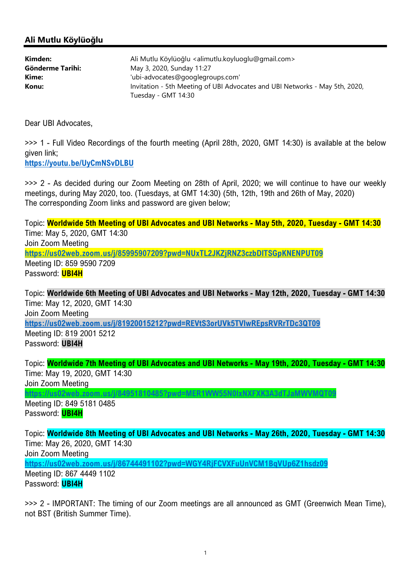## Ali Mutlu Köylüoğlu

| Kimden:          | Ali Mutlu Köylüoğlu <alimutlu.koyluoglu@gmail.com></alimutlu.koyluoglu@gmail.com> |
|------------------|-----------------------------------------------------------------------------------|
| Gönderme Tarihi: | May 3, 2020, Sunday 11:27                                                         |
| Kime:            | 'ubi-advocates@googlegroups.com'                                                  |
| Konu:            | Invitation - 5th Meeting of UBI Advocates and UBI Networks - May 5th, 2020,       |
|                  | Tuesday - GMT 14:30                                                               |

Dear UBI Advocates,

>>> 1 - Full Video Recordings of the fourth meeting (April 28th, 2020, GMT 14:30) is available at the below given link;

https://youtu.be/UyCmNSvDLBU

>>> 2 - As decided during our Zoom Meeting on 28th of April, 2020; we will continue to have our weekly meetings, during May 2020, too. (Tuesdays, at GMT 14:30) (5th, 12th, 19th and 26th of May, 2020) The corresponding Zoom links and password are given below;

Topic: Worldwide 5th Meeting of UBI Advocates and UBI Networks - May 5th, 2020, Tuesday - GMT 14:30 Time: May 5, 2020, GMT 14:30 Join Zoom Meeting https://us02web.zoom.us/j/85995907209?pwd=NUxTL2JKZjRNZ3czbDlTSGpKNENPUT09 Meeting ID: 859 9590 7209 Password: UBI4H

Topic: Worldwide 6th Meeting of UBI Advocates and UBI Networks - May 12th, 2020, Tuesday - GMT 14:30 Time: May 12, 2020, GMT 14:30 Join Zoom Meeting https://us02web.zoom.us/j/81920015212?pwd=REVtS3orUVk5TVlwREpsRVRrTDc3QT09 Meeting ID: 819 2001 5212 Password: UBI4H

Topic: Worldwide 7th Meeting of UBI Advocates and UBI Networks - May 19th, 2020, Tuesday - GMT 14:30 Time: May 19, 2020, GMT 14:30 Join Zoom Meeting https://us02web.zoom.us/j/84951810485?pwd=MER1WW55N0lxNXFXK3A3dTJaMWVMQT09

Meeting ID: 849 5181 0485 Password: **UBI4H** 

Topic: Worldwide 8th Meeting of UBI Advocates and UBI Networks - May 26th, 2020, Tuesday - GMT 14:30 Time: May 26, 2020, GMT 14:30 Join Zoom Meeting https://us02web.zoom.us/j/86744491102?pwd=WGY4RjFCVXFuUnVCM1BqVUp6Z1hsdz09 Meeting ID: 867 4449 1102 Password: **UBI4H** 

>>> 2 - IMPORTANT: The timing of our Zoom meetings are all announced as GMT (Greenwich Mean Time), not BST (British Summer Time).